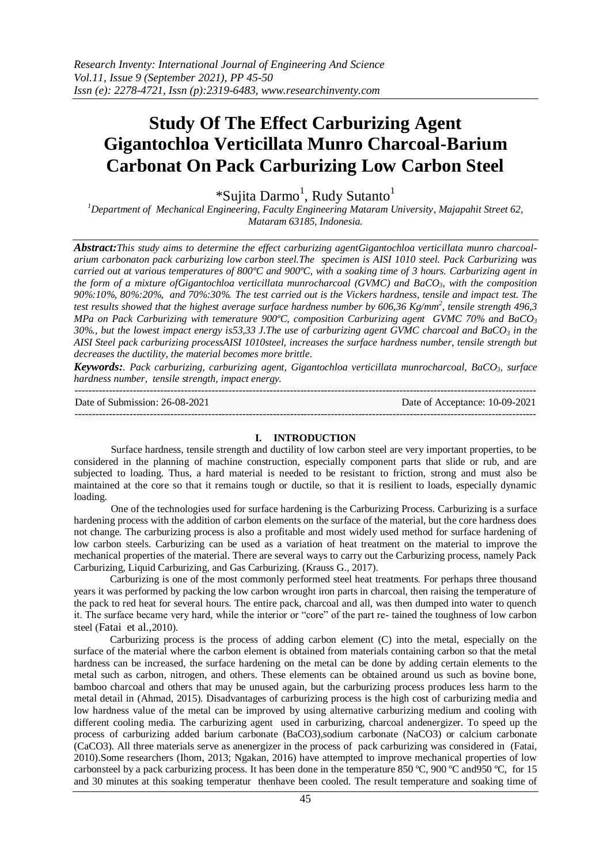# **Study Of The Effect Carburizing Agent Gigantochloa Verticillata Munro Charcoal-Barium Carbonat On Pack Carburizing Low Carbon Steel**

\*Sujita Darmo<sup>1</sup>, Rudy Sutanto<sup>1</sup>

*<sup>1</sup>Department of Mechanical Engineering, Faculty Engineering Mataram University, Majapahit Street 62, Mataram 63185, Indonesia.*

*Abstract:This study aims to determine the effect carburizing agentGigantochloa verticillata munro charcoalarium carbonaton pack carburizing low carbon steel.The specimen is AISI 1010 steel. Pack Carburizing was carried out at various temperatures of 800ºC and 900ºC, with a soaking time of 3 hours. Carburizing agent in the form of a mixture ofGigantochloa verticillata munrocharcoal (GVMC) and BaCO3, with the composition 90%:10%, 80%:20%, and 70%:30%. The test carried out is the Vickers hardness, tensile and impact test. The test results showed that the highest average surface hardness number by 606,36 Kg/mm<sup>2</sup> , tensile strength 496,3 MPa on Pack Carburizing with temerature 900ºC, composition Carburizing agent GVMC 70% and BaCO<sup>3</sup> 30%., but the lowest impact energy is53,33 J.The use of carburizing agent GVMC charcoal and BaCO<sup>3</sup> in the AISI Steel pack carburizing processAISI 1010steel, increases the surface hardness number, tensile strength but decreases the ductility, the material becomes more brittle.*

*Keywords:. Pack carburizing, carburizing agent, Gigantochloa verticillata munrocharcoal, BaCO3, surface hardness number, tensile strength, impact energy.* 

--------------------------------------------------------------------------------------------------------------------------------------- Date of Submission: 26-08-2021 Date of Acceptance: 10-09-2021

---------------------------------------------------------------------------------------------------------------------------------------

#### **I. INTRODUCTION**

Surface hardness, tensile strength and ductility of low carbon steel are very important properties, to be considered in the planning of machine construction, especially component parts that slide or rub, and are subjected to loading. Thus, a hard material is needed to be resistant to friction, strong and must also be maintained at the core so that it remains tough or ductile, so that it is resilient to loads, especially dynamic loading.

One of the technologies used for surface hardening is the Carburizing Process. Carburizing is a surface hardening process with the addition of carbon elements on the surface of the material, but the core hardness does not change. The carburizing process is also a profitable and most widely used method for surface hardening of low carbon steels. Carburizing can be used as a variation of heat treatment on the material to improve the mechanical properties of the material. There are several ways to carry out the Carburizing process, namely Pack Carburizing, Liquid Carburizing, and Gas Carburizing. (Krauss G., 2017).

Carburizing is one of the most commonly performed steel heat treatments. For perhaps three thousand years it was performed by packing the low carbon wrought iron parts in charcoal, then raising the temperature of the pack to red heat for several hours. The entire pack, charcoal and all, was then dumped into water to quench it. The surface became very hard, while the interior or "core" of the part re- tained the toughness of low carbon steel (Fatai et al.,2010).

Carburizing process is the process of adding carbon element (C) into the metal, especially on the surface of the material where the carbon element is obtained from materials containing carbon so that the metal hardness can be increased, the surface hardening on the metal can be done by adding certain elements to the metal such as carbon, nitrogen, and others. These elements can be obtained around us such as bovine bone, bamboo charcoal and others that may be unused again, but the carburizing process produces less harm to the metal detail in (Ahmad, 2015). Disadvantages of carburizing process is the high cost of carburizing media and low hardness value of the metal can be improved by using alternative carburizing medium and cooling with different cooling media. The carburizing agent used in carburizing, charcoal andenergizer. To speed up the process of carburizing added barium carbonate (BaCO3),sodium carbonate (NaCO3) or calcium carbonate (CaCO3). All three materials serve as anenergizer in the process of pack carburizing was considered in (Fatai, 2010).Some researchers (Ihom, 2013; Ngakan, 2016) have attempted to improve mechanical properties of low carbonsteel by a pack carburizing process. It has been done in the temperature 850 °C, 900 °C and 950 °C, for 15 and 30 minutes at this soaking temperatur thenhave been cooled. The result temperature and soaking time of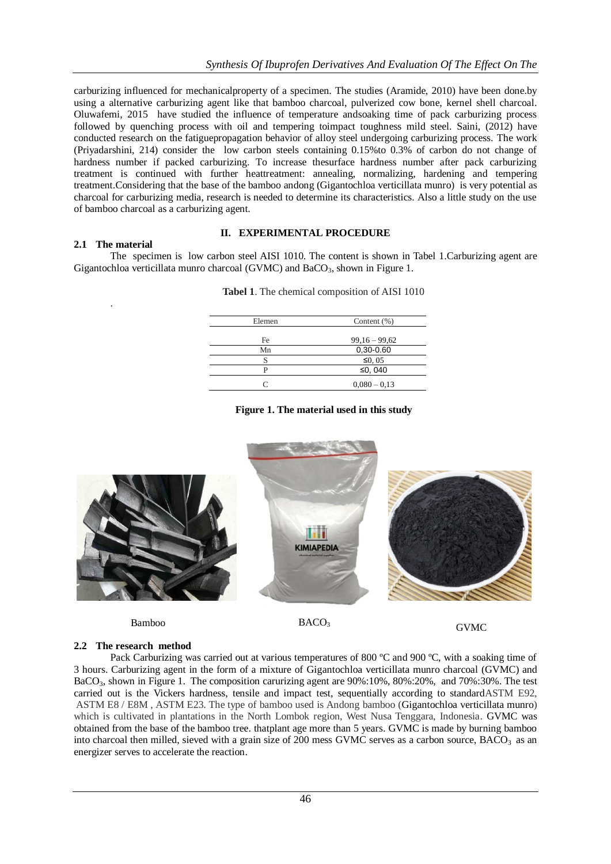carburizing influenced for mechanicalproperty of a specimen. The studies (Aramide, 2010) have been done.by using a alternative carburizing agent like that bamboo charcoal, pulverized cow bone, kernel shell charcoal. Oluwafemi, 2015 have studied the influence of temperature andsoaking time of pack carburizing process followed by quenching process with oil and tempering toimpact toughness mild steel. Saini, (2012) have conducted research on the fatiguepropagation behavior of alloy steel undergoing carburizing process. The work (Priyadarshini, 214) consider the low carbon steels containing 0.15%to 0.3% of carbon do not change of hardness number if packed carburizing. To increase thesurface hardness number after pack carburizing treatment is continued with further heattreatment: annealing, normalizing, hardening and tempering treatment.Considering that the base of the bamboo andong (Gigantochloa verticillata munro) is very potential as charcoal for carburizing media, research is needed to determine its characteristics. Also a little study on the use of bamboo charcoal as a carburizing agent.

## **2.1 The material**

.

### **II. EXPERIMENTAL PROCEDURE**

The specimen is low carbon steel AISI 1010. The content is shown in Tabel 1.Carburizing agent are Gigantochloa verticillata munro charcoal (GVMC) and  $BaCO<sub>3</sub>$ , shown in Figure 1.

| Elemen | Content $(\% )$ |
|--------|-----------------|
|        |                 |
| Fe     | $99,16 - 99,62$ |
| Mn     | 0,30-0.60       |
| S      | $\leq 0$ , 05   |
| Þ      | ≤0, 040         |
|        | $0,080 - 0,13$  |

#### **Tabel 1**. The chemical composition of AISI 1010

## **Figure 1. The material used in this study**



# **2.2 The research method**

Pack Carburizing was carried out at various temperatures of 800 °C and 900 °C, with a soaking time of 3 hours. Carburizing agent in the form of a mixture of Gigantochloa verticillata munro charcoal (GVMC) and BaCO3, shown in Figure 1. The composition carurizing agent are 90%:10%, 80%:20%, and 70%:30%. The test carried out is the Vickers hardness, tensile and impact test, sequentially according to standardASTM E92, ASTM E8 / E8M , ASTM E23. The type of bamboo used is Andong bamboo (Gigantochloa verticillata munro) which is cultivated in plantations in the North Lombok region, West Nusa Tenggara, Indonesia. GVMC was obtained from the base of the bamboo tree. thatplant age more than 5 years. GVMC is made by burning bamboo into charcoal then milled, sieved with a grain size of 200 mess GVMC serves as a carbon source,  $BACO<sub>3</sub>$  as an energizer serves to accelerate the reaction.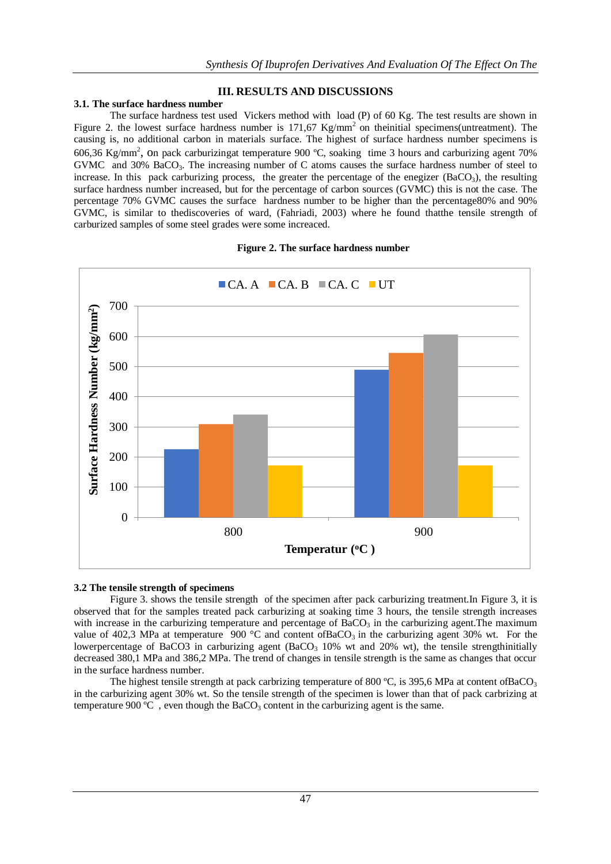## **III. RESULTS AND DISCUSSIONS**

## **3.1. The surface hardness number**

The surface hardness test used Vickers method with load (P) of 60 Kg. The test results are shown in Figure 2. the lowest surface hardness number is 171,67 Kg/mm<sup>2</sup> on theinitial specimens(untreatment). The causing is, no additional carbon in materials surface. The highest of surface hardness number specimens is 606,36 Kg/mm<sup>2</sup>, On pack carburizingat temperature 900 °C, soaking time 3 hours and carburizing agent 70% GVMC and 30% BaCO<sub>3</sub>. The increasing number of C atoms causes the surface hardness number of steel to increase. In this pack carburizing process, the greater the percentage of the enegizer ( $BaCO<sub>3</sub>$ ), the resulting surface hardness number increased, but for the percentage of carbon sources (GVMC) this is not the case. The percentage 70% GVMC causes the surface hardness number to be higher than the percentage80% and 90% GVMC, is similar to thediscoveries of ward, (Fahriadi, 2003) where he found thatthe tensile strength of carburized samples of some steel grades were some increaced.





## **3.2 The tensile strength of specimens**

Figure 3. shows the tensile strength of the specimen after pack carburizing treatment.In Figure 3, it is observed that for the samples treated pack carburizing at soaking time 3 hours, the tensile strength increases with increase in the carburizing temperature and percentage of  $BaCO<sub>3</sub>$  in the carburizing agent. The maximum value of 402,3 MPa at temperature 900 °C and content of BaCO<sub>3</sub> in the carburizing agent 30% wt. For the lowerpercentage of BaCO3 in carburizing agent (BaCO<sub>3</sub> 10% wt and 20% wt), the tensile strengthinitially decreased 380,1 MPa and 386,2 MPa. The trend of changes in tensile strength is the same as changes that occur in the surface hardness number.

The highest tensile strength at pack carbrizing temperature of 800 °C, is 395,6 MPa at content of BaCO<sub>3</sub> in the carburizing agent 30% wt. So the tensile strength of the specimen is lower than that of pack carbrizing at temperature 900  $^{\circ}$ C, even though the BaCO<sub>3</sub> content in the carburizing agent is the same.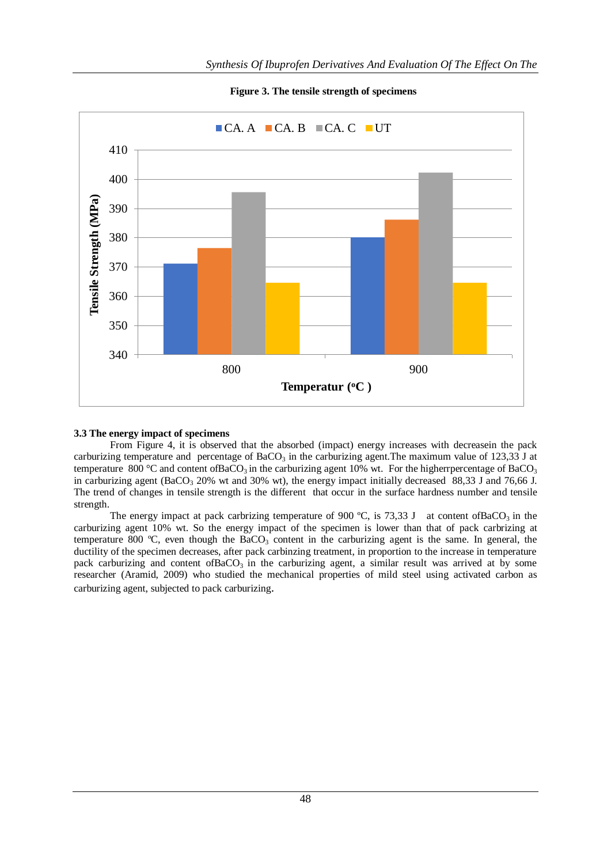

**Figure 3. The tensile strength of specimens**

## **3.3 The energy impact of specimens**

From Figure 4, it is observed that the absorbed (impact) energy increases with decreasein the pack carburizing temperature and percentage of BaCO<sub>3</sub> in the carburizing agent. The maximum value of 123,33 J at temperature 800 °C and content of BaCO<sub>3</sub> in the carburizing agent 10% wt. For the higherrpercentage of BaCO<sub>3</sub> in carburizing agent (BaCO<sub>3</sub> 20% wt and 30% wt), the energy impact initially decreased 88,33 J and 76,66 J. The trend of changes in tensile strength is the different that occur in the surface hardness number and tensile strength.

The energy impact at pack carbrizing temperature of 900 °C, is 73,33 J at content of BaCO<sub>3</sub> in the carburizing agent 10% wt. So the energy impact of the specimen is lower than that of pack carbrizing at temperature 800  $^{\circ}$ C, even though the BaCO<sub>3</sub> content in the carburizing agent is the same. In general, the ductility of the specimen decreases, after pack carbinzing treatment, in proportion to the increase in temperature pack carburizing and content ofBaCO<sub>3</sub> in the carburizing agent, a similar result was arrived at by some researcher (Aramid, 2009) who studied the mechanical properties of mild steel using activated carbon as carburizing agent, subjected to pack carburizing.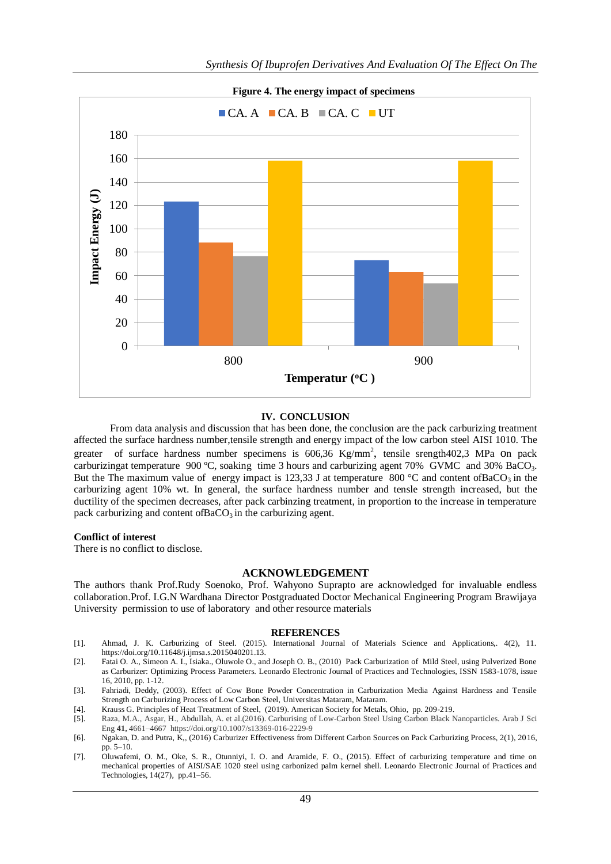

#### **IV. CONCLUSION**

From data analysis and discussion that has been done, the conclusion are the pack carburizing treatment affected the surface hardness number,tensile strength and energy impact of the low carbon steel AISI 1010. The greater of surface hardness number specimens is  $606,36$  Kg/mm<sup>2</sup>, tensile srength402,3 MPa on pack carburizingat temperature 900 °C, soaking time 3 hours and carburizing agent 70% GVMC and 30% BaCO<sub>3</sub>. But the The maximum value of energy impact is 123,33 J at temperature 800 °C and content of BaCO<sub>3</sub> in the carburizing agent 10% wt. In general, the surface hardness number and tensle strength increased, but the ductility of the specimen decreases, after pack carbinzing treatment, in proportion to the increase in temperature pack carburizing and content of  $BaCO<sub>3</sub>$  in the carburizing agent.

#### **Conflict of interest**

There is no conflict to disclose.

#### **ACKNOWLEDGEMENT**

The authors thank Prof.Rudy Soenoko, Prof. Wahyono Suprapto are acknowledged for invaluable endless collaboration.Prof. I.G.N Wardhana Director Postgraduated Doctor Mechanical Engineering Program Brawijaya University permission to use of laboratory and other resource materials

#### **REFERENCES**

- [1]. Ahmad, J. K. Carburizing of Steel. (2015). International Journal of Materials Science and Applications,. 4(2), 11. https://doi.org/10.11648/j.ijmsa.s.2015040201.13.
- [2]. Fatai O. A., Simeon A. I., Isiaka., Oluwole O., and Joseph O. B., (2010) Pack Carburization of Mild Steel, using Pulverized Bone as Carburizer: Optimizing Process Parameters. Leonardo Electronic Journal of Practices and Technologies, ISSN 1583-1078, issue 16, 2010, pp. 1-12.
- [3]. Fahriadi, Deddy, (2003). Effect of Cow Bone Powder Concentration in Carburization Media Against Hardness and Tensile Strength on Carburizing Process of Low Carbon Steel, Universitas Mataram, Mataram.
- [4]. Krauss G. Principles of Heat Treatment of Steel, (2019). American Society for Metals, Ohio, pp. 209-219.
- [5]. Raza, M.A., Asgar, H., Abdullah, A. et al.(2016). Carburising of Low-Carbon Steel Using Carbon Black Nanoparticles. Arab J Sci Eng **41,** 4661–4667 https://doi.org/10.1007/s13369-016-2229-9
- [6]. Ngakan, D. and Putra, K,, (2016) Carburizer Effectiveness from Different Carbon Sources on Pack Carburizing Process, 2(1), 2016, pp. 5–10.
- [7]. Oluwafemi, O. M., Oke, S. R., Otunniyi, I. O. and Aramide, F. O., (2015). Effect of carburizing temperature and time on mechanical properties of AISI/SAE 1020 steel using carbonized palm kernel shell. Leonardo Electronic Journal of Practices and Technologies, 14(27), pp.41–56.